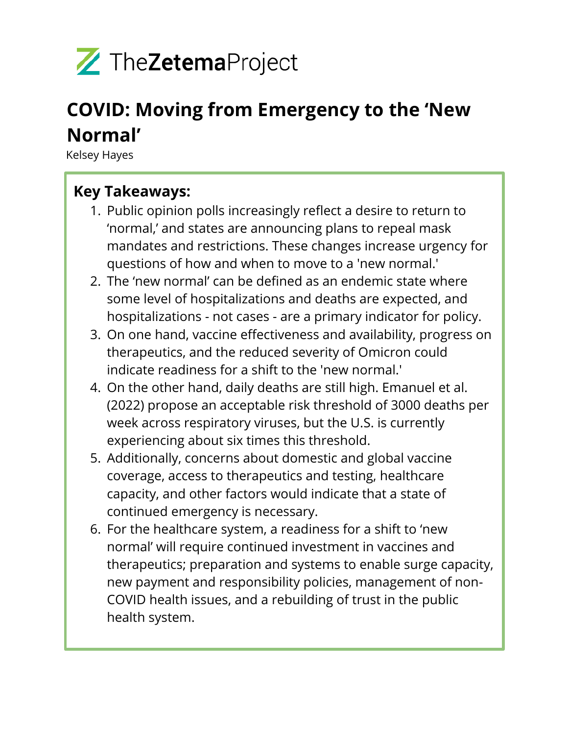

# **COVID: Moving from Emergency to the 'New Normal'**

Kelsey Hayes

## **Key Takeaways:**

- 1. Public opinion polls increasingly reflect a desire to return to 'normal,' and states are announcing plans to repeal mask mandates and restrictions. These changes increase urgency for questions of how and when to move to a 'new normal.'
- 2. The 'new normal' can be defined as an endemic state where some level of hospitalizations and deaths are expected, and hospitalizations - not cases - are a primary indicator for policy.
- 3. On one hand, vaccine effectiveness and availability, progress on therapeutics, and the reduced severity of Omicron could indicate readiness for a shift to the 'new normal.'
- 4. On the other hand, daily deaths are still high. Emanuel et al. (2022) propose an acceptable risk threshold of 3000 deaths per week across respiratory viruses, but the U.S. is currently experiencing about six times this threshold.
- 5. Additionally, concerns about domestic and global vaccine coverage, access to therapeutics and testing, healthcare capacity, and other factors would indicate that a state of continued emergency is necessary.
- 6. For the healthcare system, a readiness for a shift to 'new normal' will require continued investment in vaccines and therapeutics; preparation and systems to enable surge capacity, new payment and responsibility policies, management of non-COVID health issues, and a rebuilding of trust in the public health system.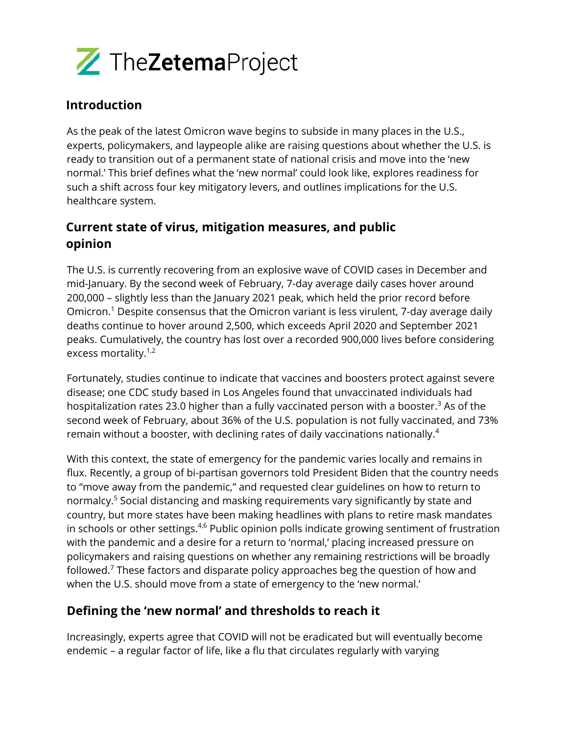

## **Introduction**

As the peak of the latest Omicron wave begins to subside in many places in the U.S., experts, policymakers, and laypeople alike are raising questions about whether the U.S. is ready to transition out of a permanent state of national crisis and move into the 'new normal.' This brief defines what the 'new normal' could look like, explores readiness for such a shift across four key mitigatory levers, and outlines implications for the U.S. healthcare system.

## **Current state of virus, mitigation measures, and public opinion**

The U.S. is currently recovering from an explosive wave of COVID cases in December and mid-January. By the second week of February, 7-day average daily cases hover around 200,000 – slightly less than the January 2021 peak, which held the prior record before Omicron. <sup>1</sup> Despite consensus that the Omicron variant is less virulent, 7-day average daily deaths continue to hover around 2,500, which exceeds April 2020 and September 2021 peaks. Cumulatively, the country has lost over a recorded 900,000 lives before considering excess mortality.<sup>1,2</sup>

Fortunately, studies continue to indicate that vaccines and boosters protect against severe disease; one CDC study based in Los Angeles found that unvaccinated individuals had hospitalization rates 23.0 higher than a fully vaccinated person with a booster. <sup>3</sup> As of the second week of February, about 36% of the U.S. population is not fully vaccinated, and 73% remain without a booster, with declining rates of daily vaccinations nationally. 4

With this context, the state of emergency for the pandemic varies locally and remains in flux. Recently, a group of bi-partisan governors told President Biden that the country needs to "move away from the pandemic," and requested clear guidelines on how to return to normalcy. <sup>5</sup> Social distancing and masking requirements vary significantly by state and country, but more states have been making headlines with plans to retire mask mandates in schools or other settings.<sup>4,6</sup> Public opinion polls indicate growing sentiment of frustration with the pandemic and a desire for a return to 'normal,' placing increased pressure on policymakers and raising questions on whether any remaining restrictions will be broadly followed.<sup>7</sup> These factors and disparate policy approaches beg the question of how and when the U.S. should move from a state of emergency to the 'new normal.'

## **Defining the 'new normal' and thresholds to reach it**

Increasingly, experts agree that COVID will not be eradicated but will eventually become endemic – a regular factor of life, like a flu that circulates regularly with varying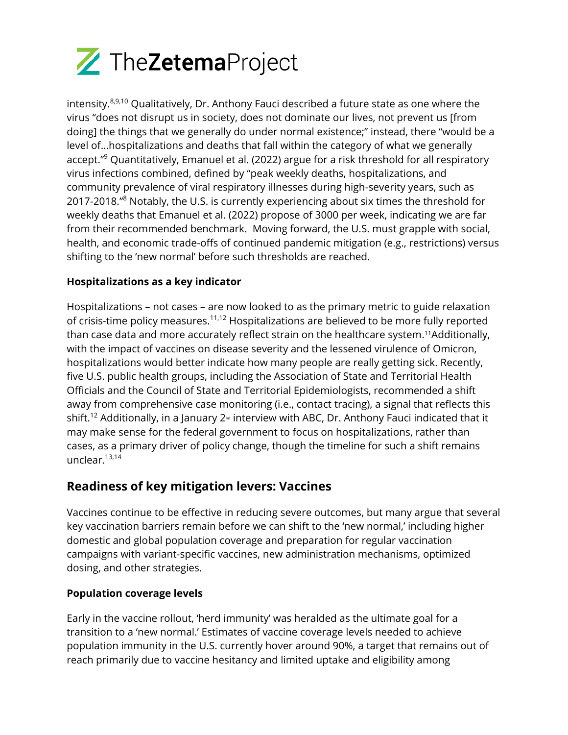

intensity.<sup>8,9,10</sup> Qualitatively, Dr. Anthony Fauci described a future state as one where the virus "does not disrupt us in society, does not dominate our lives, not prevent us [from doing] the things that we generally do under normal existence;" instead, there "would be a level of…hospitalizations and deaths that fall within the category of what we generally accept."<sup>9</sup> Quantitatively, Emanuel et al. (2022) argue for a risk threshold for all respiratory virus infections combined, defined by "peak weekly deaths, hospitalizations, and community prevalence of viral respiratory illnesses during high-severity years, such as 2017-2018."<sup>8</sup> Notably, the U.S. is currently experiencing about six times the threshold for weekly deaths that Emanuel et al. (2022) propose of 3000 per week, indicating we are far from their recommended benchmark. Moving forward, the U.S. must grapple with social, health, and economic trade-offs of continued pandemic mitigation (e.g., restrictions) versus shifting to the 'new normal' before such thresholds are reached.

#### **Hospitalizations as a key indicator**

Hospitalizations – not cases – are now looked to as the primary metric to guide relaxation of crisis-time policy measures.<sup>11,12</sup> Hospitalizations are believed to be more fully reported than case data and more accurately reflect strain on the healthcare system. <sup>11</sup>Additionally, with the impact of vaccines on disease severity and the lessened virulence of Omicron, hospitalizations would better indicate how many people are really getting sick. Recently, five U.S. public health groups, including the Association of State and Territorial Health Officials and the Council of State and Territorial Epidemiologists, recommended a shift away from comprehensive case monitoring (i.e., contact tracing), a signal that reflects this shift. $^{12}$  Additionally, in a January 2<sup>rd</sup> interview with ABC, Dr. Anthony Fauci indicated that it may make sense for the federal government to focus on hospitalizations, rather than cases, as a primary driver of policy change, though the timeline for such a shift remains unclear. 13,14

## **Readiness of key mitigation levers: Vaccines**

Vaccines continue to be effective in reducing severe outcomes, but many argue that several key vaccination barriers remain before we can shift to the 'new normal,' including higher domestic and global population coverage and preparation for regular vaccination campaigns with variant-specific vaccines, new administration mechanisms, optimized dosing, and other strategies.

#### **Population coverage levels**

Early in the vaccine rollout, 'herd immunity' was heralded as the ultimate goal for a transition to a 'new normal.' Estimates of vaccine coverage levels needed to achieve population immunity in the U.S. currently hover around 90%, a target that remains out of reach primarily due to vaccine hesitancy and limited uptake and eligibility among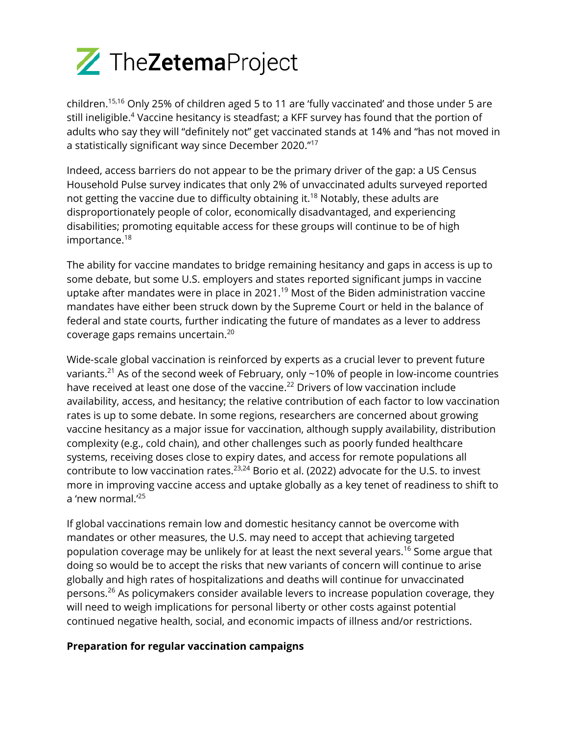

children. 15,16 Only 25% of children aged 5 to 11 are 'fully vaccinated' and those under 5 are still ineligible. <sup>4</sup> Vaccine hesitancy is steadfast; a KFF survey has found that the portion of adults who say they will "definitely not" get vaccinated stands at 14% and "has not moved in a statistically significant way since December 2020." 17

Indeed, access barriers do not appear to be the primary driver of the gap: a US Census Household Pulse survey indicates that only 2% of unvaccinated adults surveyed reported not getting the vaccine due to difficulty obtaining it.<sup>18</sup> Notably, these adults are disproportionately people of color, economically disadvantaged, and experiencing disabilities; promoting equitable access for these groups will continue to be of high importance. 18

The ability for vaccine mandates to bridge remaining hesitancy and gaps in access is up to some debate, but some U.S. employers and states reported significant jumps in vaccine uptake after mandates were in place in 2021.<sup>19</sup> Most of the Biden administration vaccine mandates have either been struck down by the Supreme Court or held in the balance of federal and state courts, further indicating the future of mandates as a lever to address coverage gaps remains uncertain. 20

Wide-scale global vaccination is reinforced by experts as a crucial lever to prevent future variants. $^{21}$  As of the second week of February, only ~10% of people in low-income countries have received at least one dose of the vaccine. <sup>22</sup> Drivers of low vaccination include availability, access, and hesitancy; the relative contribution of each factor to low vaccination rates is up to some debate. In some regions, researchers are concerned about growing vaccine hesitancy as a major issue for vaccination, although supply availability, distribution complexity (e.g., cold chain), and other challenges such as poorly funded healthcare systems, receiving doses close to expiry dates, and access for remote populations all contribute to low vaccination rates. $^{23,24}$  Borio et al. (2022) advocate for the U.S. to invest more in improving vaccine access and uptake globally as a key tenet of readiness to shift to a 'new normal.'<sup>25</sup>

If global vaccinations remain low and domestic hesitancy cannot be overcome with mandates or other measures, the U.S. may need to accept that achieving targeted population coverage may be unlikely for at least the next several years. <sup>16</sup> Some argue that doing so would be to accept the risks that new variants of concern will continue to arise globally and high rates of hospitalizations and deaths will continue for unvaccinated persons. <sup>26</sup> As policymakers consider available levers to increase population coverage, they will need to weigh implications for personal liberty or other costs against potential continued negative health, social, and economic impacts of illness and/or restrictions.

#### **Preparation for regular vaccination campaigns**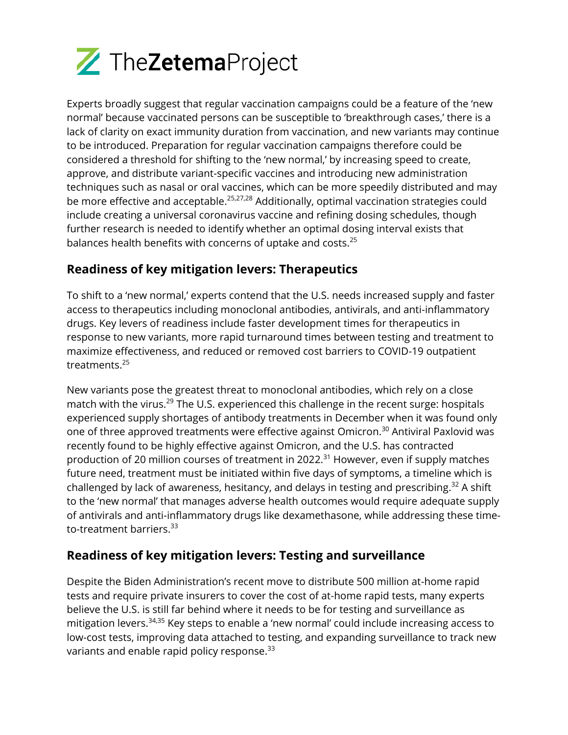

Experts broadly suggest that regular vaccination campaigns could be a feature of the 'new normal' because vaccinated persons can be susceptible to 'breakthrough cases,' there is a lack of clarity on exact immunity duration from vaccination, and new variants may continue to be introduced. Preparation for regular vaccination campaigns therefore could be considered a threshold for shifting to the 'new normal,' by increasing speed to create, approve, and distribute variant-specific vaccines and introducing new administration techniques such as nasal or oral vaccines, which can be more speedily distributed and may be more effective and acceptable.<sup>25,27,28</sup> Additionally, optimal vaccination strategies could include creating a universal coronavirus vaccine and refining dosing schedules, though further research is needed to identify whether an optimal dosing interval exists that balances health benefits with concerns of uptake and costs.<sup>25</sup>

## **Readiness of key mitigation levers: Therapeutics**

To shift to a 'new normal,' experts contend that the U.S. needs increased supply and faster access to therapeutics including monoclonal antibodies, antivirals, and anti-inflammatory drugs. Key levers of readiness include faster development times for therapeutics in response to new variants, more rapid turnaround times between testing and treatment to maximize effectiveness, and reduced or removed cost barriers to COVID-19 outpatient treatments. 25

New variants pose the greatest threat to monoclonal antibodies, which rely on a close match with the virus.<sup>29</sup> The U.S. experienced this challenge in the recent surge: hospitals experienced supply shortages of antibody treatments in December when it was found only one of three approved treatments were effective against Omicron. <sup>30</sup> Antiviral Paxlovid was recently found to be highly effective against Omicron, and the U.S. has contracted production of 20 million courses of treatment in 2022.<sup>31</sup> However, even if supply matches future need, treatment must be initiated within five days of symptoms, a timeline which is challenged by lack of awareness, hesitancy, and delays in testing and prescribing.<sup>32</sup> A shift to the 'new normal' that manages adverse health outcomes would require adequate supply of antivirals and anti-inflammatory drugs like dexamethasone, while addressing these timeto-treatment barriers. 33

## **Readiness of key mitigation levers: Testing and surveillance**

Despite the Biden Administration's recent move to distribute 500 million at-home rapid tests and require private insurers to cover the cost of at-home rapid tests, many experts believe the U.S. is still far behind where it needs to be for testing and surveillance as mitigation levers. 34,35 Key steps to enable a 'new normal' could include increasing access to low-cost tests, improving data attached to testing, and expanding surveillance to track new variants and enable rapid policy response. $^{\rm 33}$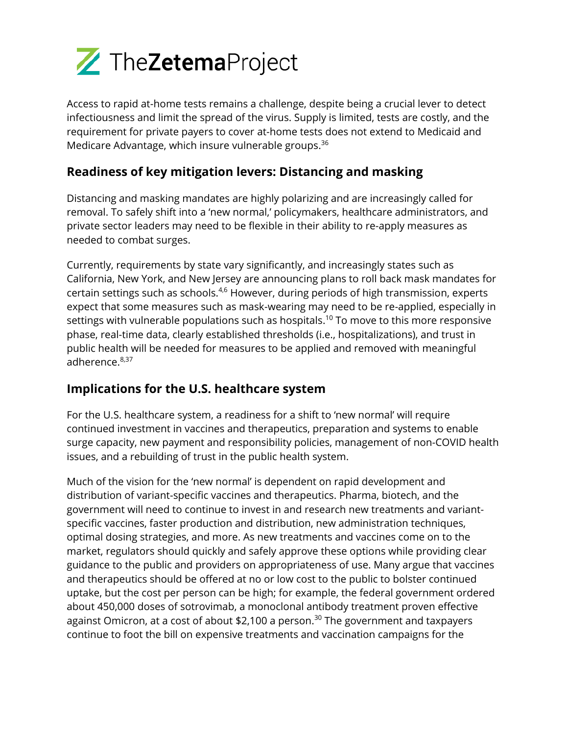

Access to rapid at-home tests remains a challenge, despite being a crucial lever to detect infectiousness and limit the spread of the virus. Supply is limited, tests are costly, and the requirement for private payers to cover at-home tests does not extend to Medicaid and Medicare Advantage, which insure vulnerable groups.<sup>36</sup>

## **Readiness of key mitigation levers: Distancing and masking**

Distancing and masking mandates are highly polarizing and are increasingly called for removal. To safely shift into a 'new normal,' policymakers, healthcare administrators, and private sector leaders may need to be flexible in their ability to re-apply measures as needed to combat surges.

Currently, requirements by state vary significantly, and increasingly states such as California, New York, and New Jersey are announcing plans to roll back mask mandates for certain settings such as schools.<sup>4,6</sup> However, during periods of high transmission, experts expect that some measures such as mask-wearing may need to be re-applied, especially in settings with vulnerable populations such as hospitals. <sup>10</sup> To move to this more responsive phase, real-time data, clearly established thresholds (i.e., hospitalizations), and trust in public health will be needed for measures to be applied and removed with meaningful adherence.<sup>8,37</sup>

## **Implications for the U.S. healthcare system**

For the U.S. healthcare system, a readiness for a shift to 'new normal' will require continued investment in vaccines and therapeutics, preparation and systems to enable surge capacity, new payment and responsibility policies, management of non-COVID health issues, and a rebuilding of trust in the public health system.

Much of the vision for the 'new normal' is dependent on rapid development and distribution of variant-specific vaccines and therapeutics. Pharma, biotech, and the government will need to continue to invest in and research new treatments and variantspecific vaccines, faster production and distribution, new administration techniques, optimal dosing strategies, and more. As new treatments and vaccines come on to the market, regulators should quickly and safely approve these options while providing clear guidance to the public and providers on appropriateness of use. Many argue that vaccines and therapeutics should be offered at no or low cost to the public to bolster continued uptake, but the cost per person can be high; for example, the federal government ordered about 450,000 doses of sotrovimab, a monoclonal antibody treatment proven effective against Omicron, at a cost of about \$2,100 a person. <sup>30</sup> The government and taxpayers continue to foot the bill on expensive treatments and vaccination campaigns for the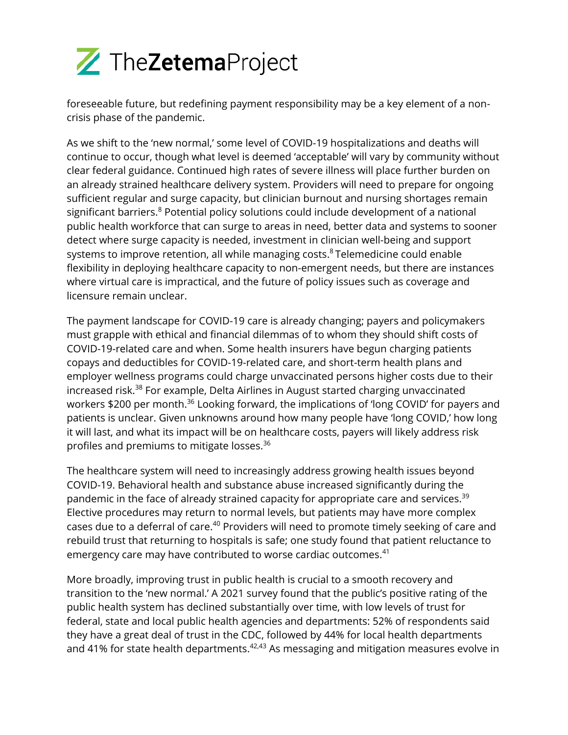

foreseeable future, but redefining payment responsibility may be a key element of a noncrisis phase of the pandemic.

As we shift to the 'new normal,' some level of COVID-19 hospitalizations and deaths will continue to occur, though what level is deemed 'acceptable' will vary by community without clear federal guidance. Continued high rates of severe illness will place further burden on an already strained healthcare delivery system. Providers will need to prepare for ongoing sufficient regular and surge capacity, but clinician burnout and nursing shortages remain significant barriers. <sup>8</sup> Potential policy solutions could include development of a national public health workforce that can surge to areas in need, better data and systems to sooner detect where surge capacity is needed, investment in clinician well-being and support systems to improve retention, all while managing costs.<sup>8</sup> Telemedicine could enable flexibility in deploying healthcare capacity to non-emergent needs, but there are instances where virtual care is impractical, and the future of policy issues such as coverage and licensure remain unclear.

The payment landscape for COVID-19 care is already changing; payers and policymakers must grapple with ethical and financial dilemmas of to whom they should shift costs of COVID-19-related care and when. Some health insurers have begun charging patients copays and deductibles for COVID-19-related care, and short-term health plans and employer wellness programs could charge unvaccinated persons higher costs due to their increased risk. <sup>38</sup> For example, Delta Airlines in August started charging unvaccinated workers \$200 per month.<sup>36</sup> Looking forward, the implications of 'long COVID' for payers and patients is unclear. Given unknowns around how many people have 'long COVID,' how long it will last, and what its impact will be on healthcare costs, payers will likely address risk profiles and premiums to mitigate losses. 36

The healthcare system will need to increasingly address growing health issues beyond COVID-19. Behavioral health and substance abuse increased significantly during the pandemic in the face of already strained capacity for appropriate care and services.<sup>39</sup> Elective procedures may return to normal levels, but patients may have more complex cases due to a deferral of care.<sup>40</sup> Providers will need to promote timely seeking of care and rebuild trust that returning to hospitals is safe; one study found that patient reluctance to emergency care may have contributed to worse cardiac outcomes. 41

More broadly, improving trust in public health is crucial to a smooth recovery and transition to the 'new normal.' A 2021 survey found that the public's positive rating of the public health system has declined substantially over time, with low levels of trust for federal, state and local public health agencies and departments: 52% of respondents said they have a great deal of trust in the CDC, followed by 44% for local health departments and 41% for state health departments. $42,43$  As messaging and mitigation measures evolve in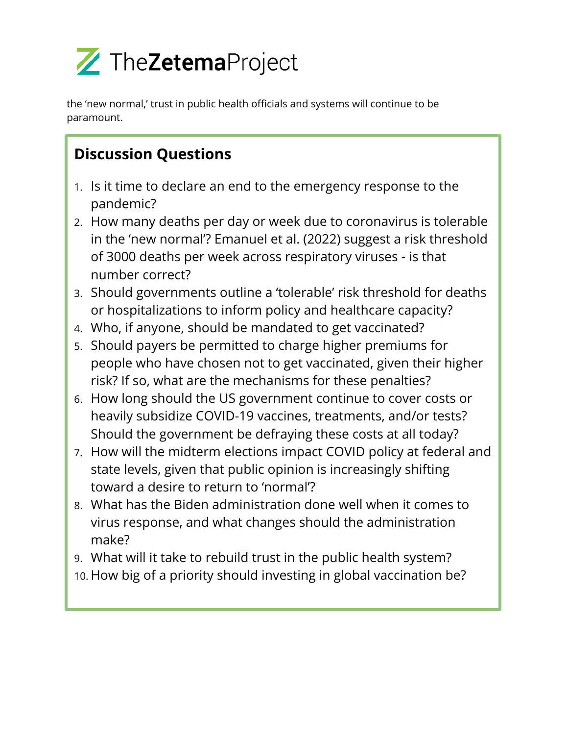

the 'new normal,' trust in public health officials and systems will continue to be paramount.

## **Discussion Questions**

- 1. Is it time to declare an end to the emergency response to the pandemic?
- 2. How many deaths per day or week due to coronavirus is tolerable in the 'new normal'? Emanuel et al. (2022) suggest a risk threshold of 3000 deaths per week across respiratory viruses - is that number correct?
- 3. Should governments outline a 'tolerable' risk threshold for deaths or hospitalizations to inform policy and healthcare capacity?
- 4. Who, if anyone, should be mandated to get vaccinated?
- 5. Should payers be permitted to charge higher premiums for people who have chosen not to get vaccinated, given their higher risk? If so, what are the mechanisms for these penalties?
- 6. How long should the US government continue to cover costs or heavily subsidize COVID-19 vaccines, treatments, and/or tests? Should the government be defraying these costs at all today?
- 7. How will the midterm elections impact COVID policy at federal and state levels, given that public opinion is increasingly shifting toward a desire to return to 'normal'?
- 8. What has the Biden administration done well when it comes to virus response, and what changes should the administration make?
- 9. What will it take to rebuild trust in the public health system?
- 10. How big of a priority should investing in global vaccination be?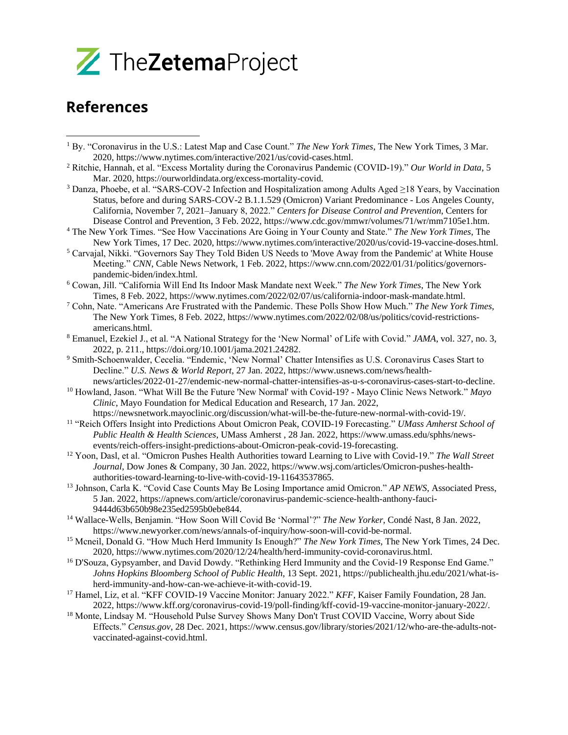

## **References**

- <sup>1</sup> By. "Coronavirus in the U.S.: Latest Map and Case Count." *The New York Times*, The New York Times, 3 Mar. 2020, https://www.nytimes.com/interactive/2021/us/covid-cases.html.
- <sup>2</sup> Ritchie, Hannah, et al. "Excess Mortality during the Coronavirus Pandemic (COVID-19)." *Our World in Data*, 5 Mar. 2020, https://ourworldindata.org/excess-mortality-covid.
- <sup>3</sup> Danza, Phoebe, et al. "SARS-COV-2 Infection and Hospitalization among Adults Aged ≥18 Years, by Vaccination Status, before and during SARS-COV-2 B.1.1.529 (Omicron) Variant Predominance - Los Angeles County, California, November 7, 2021–January 8, 2022." *Centers for Disease Control and Prevention*, Centers for Disease Control and Prevention, 3 Feb. 2022, https://www.cdc.gov/mmwr/volumes/71/wr/mm7105e1.htm.
- <sup>4</sup> The New York Times. "See How Vaccinations Are Going in Your County and State." *The New York Times*, The New York Times, 17 Dec. 2020, https://www.nytimes.com/interactive/2020/us/covid-19-vaccine-doses.html.
- <sup>5</sup> Carvajal, Nikki. "Governors Say They Told Biden US Needs to 'Move Away from the Pandemic' at White House Meeting." *CNN*, Cable News Network, 1 Feb. 2022, https://www.cnn.com/2022/01/31/politics/governorspandemic-biden/index.html.
- <sup>6</sup> Cowan, Jill. "California Will End Its Indoor Mask Mandate next Week." *The New York Times*, The New York Times, 8 Feb. 2022, https://www.nytimes.com/2022/02/07/us/california-indoor-mask-mandate.html.
- <sup>7</sup> Cohn, Nate. "Americans Are Frustrated with the Pandemic. These Polls Show How Much." *The New York Times*, The New York Times, 8 Feb. 2022, https://www.nytimes.com/2022/02/08/us/politics/covid-restrictionsamericans.html.
- <sup>8</sup> Emanuel, Ezekiel J., et al. "A National Strategy for the 'New Normal' of Life with Covid." *JAMA*, vol. 327, no. 3, 2022, p. 211., https://doi.org/10.1001/jama.2021.24282.
- <sup>9</sup> Smith-Schoenwalder, Cecelia. "Endemic, 'New Normal' Chatter Intensifies as U.S. Coronavirus Cases Start to Decline." *U.S. News & World Report*, 27 Jan. 2022, https://www.usnews.com/news/healthnews/articles/2022-01-27/endemic-new-normal-chatter-intensifies-as-u-s-coronavirus-cases-start-to-decline.
- <sup>10</sup> Howland, Jason. "What Will Be the Future 'New Normal' with Covid-19? Mayo Clinic News Network." *Mayo Clinic*, Mayo Foundation for Medical Education and Research, 17 Jan. 2022,
- https://newsnetwork.mayoclinic.org/discussion/what-will-be-the-future-new-normal-with-covid-19/.
- <sup>11</sup> "Reich Offers Insight into Predictions About Omicron Peak, COVID-19 Forecasting." *UMass Amherst School of Public Health & Health Sciences*, UMass Amherst , 28 Jan. 2022, https://www.umass.edu/sphhs/newsevents/reich-offers-insight-predictions-about-Omicron-peak-covid-19-forecasting.
- <sup>12</sup> Yoon, Dasl, et al. "Omicron Pushes Health Authorities toward Learning to Live with Covid-19." *The Wall Street Journal*, Dow Jones & Company, 30 Jan. 2022, https://www.wsj.com/articles/Omicron-pushes-healthauthorities-toward-learning-to-live-with-covid-19-11643537865.
- <sup>13</sup> Johnson, Carla K. "Covid Case Counts May Be Losing Importance amid Omicron." *AP NEWS*, Associated Press, 5 Jan. 2022, https://apnews.com/article/coronavirus-pandemic-science-health-anthony-fauci-9444d63b650b98e235ed2595b0ebe844.
- <sup>14</sup> Wallace-Wells, Benjamin. "How Soon Will Covid Be 'Normal'?" *The New Yorker*, Condé Nast, 8 Jan. 2022, https://www.newyorker.com/news/annals-of-inquiry/how-soon-will-covid-be-normal.
- <sup>15</sup> Mcneil, Donald G. "How Much Herd Immunity Is Enough?" *The New York Times*, The New York Times, 24 Dec. 2020, https://www.nytimes.com/2020/12/24/health/herd-immunity-covid-coronavirus.html.
- <sup>16</sup> D'Souza, Gypsyamber, and David Dowdy. "Rethinking Herd Immunity and the Covid-19 Response End Game." *Johns Hopkins Bloomberg School of Public Health*, 13 Sept. 2021, https://publichealth.jhu.edu/2021/what-isherd-immunity-and-how-can-we-achieve-it-with-covid-19.
- <sup>17</sup> Hamel, Liz, et al. "KFF COVID-19 Vaccine Monitor: January 2022." *KFF*, Kaiser Family Foundation, 28 Jan. 2022, https://www.kff.org/coronavirus-covid-19/poll-finding/kff-covid-19-vaccine-monitor-january-2022/.
- <sup>18</sup> Monte, Lindsay M. "Household Pulse Survey Shows Many Don't Trust COVID Vaccine, Worry about Side Effects." *Census.gov*, 28 Dec. 2021, https://www.census.gov/library/stories/2021/12/who-are-the-adults-notvaccinated-against-covid.html.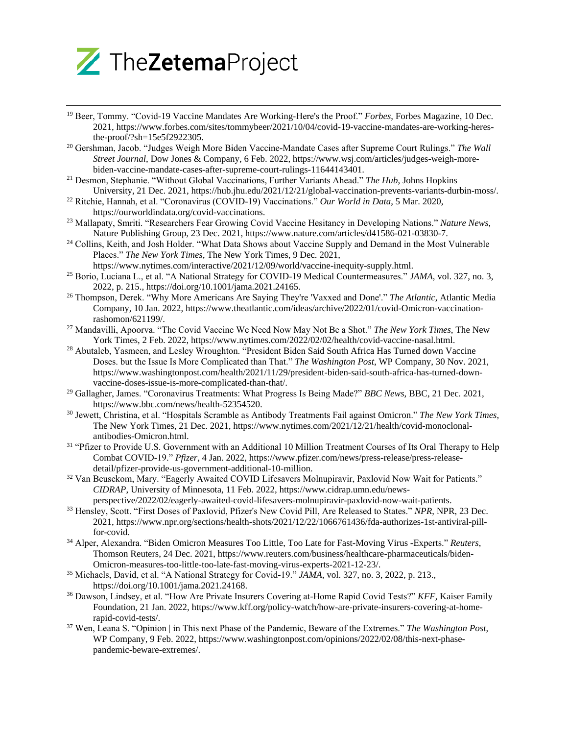

- <sup>19</sup> Beer, Tommy. "Covid-19 Vaccine Mandates Are Working-Here's the Proof." *Forbes*, Forbes Magazine, 10 Dec. 2021, https://www.forbes.com/sites/tommybeer/2021/10/04/covid-19-vaccine-mandates-are-working-heresthe-proof/?sh=15e5f2922305.
- <sup>20</sup> Gershman, Jacob. "Judges Weigh More Biden Vaccine-Mandate Cases after Supreme Court Rulings." *The Wall Street Journal*, Dow Jones & Company, 6 Feb. 2022, https://www.wsj.com/articles/judges-weigh-morebiden-vaccine-mandate-cases-after-supreme-court-rulings-11644143401.
- <sup>21</sup> Desmon, Stephanie. "Without Global Vaccinations, Further Variants Ahead." *The Hub*, Johns Hopkins University, 21 Dec. 2021, https://hub.jhu.edu/2021/12/21/global-vaccination-prevents-variants-durbin-moss/.
- <sup>22</sup> Ritchie, Hannah, et al. "Coronavirus (COVID-19) Vaccinations." *Our World in Data*, 5 Mar. 2020, https://ourworldindata.org/covid-vaccinations.
- <sup>23</sup> Mallapaty, Smriti. "Researchers Fear Growing Covid Vaccine Hesitancy in Developing Nations." *Nature News*, Nature Publishing Group, 23 Dec. 2021, https://www.nature.com/articles/d41586-021-03830-7.
- <sup>24</sup> Collins, Keith, and Josh Holder. "What Data Shows about Vaccine Supply and Demand in the Most Vulnerable Places." *The New York Times*, The New York Times, 9 Dec. 2021,
	- https://www.nytimes.com/interactive/2021/12/09/world/vaccine-inequity-supply.html.
- <sup>25</sup> Borio, Luciana L., et al. "A National Strategy for COVID-19 Medical Countermeasures." *JAMA*, vol. 327, no. 3, 2022, p. 215., https://doi.org/10.1001/jama.2021.24165.
- <sup>26</sup> Thompson, Derek. "Why More Americans Are Saying They're 'Vaxxed and Done'." *The Atlantic*, Atlantic Media Company, 10 Jan. 2022, https://www.theatlantic.com/ideas/archive/2022/01/covid-Omicron-vaccinationrashomon/621199/.
- <sup>27</sup> Mandavilli, Apoorva. "The Covid Vaccine We Need Now May Not Be a Shot." *The New York Times*, The New York Times, 2 Feb. 2022, https://www.nytimes.com/2022/02/02/health/covid-vaccine-nasal.html.
- <sup>28</sup> Abutaleb, Yasmeen, and Lesley Wroughton. "President Biden Said South Africa Has Turned down Vaccine Doses. but the Issue Is More Complicated than That." *The Washington Post*, WP Company, 30 Nov. 2021, https://www.washingtonpost.com/health/2021/11/29/president-biden-said-south-africa-has-turned-downvaccine-doses-issue-is-more-complicated-than-that/.
- <sup>29</sup> Gallagher, James. "Coronavirus Treatments: What Progress Is Being Made?" *BBC News*, BBC, 21 Dec. 2021, https://www.bbc.com/news/health-52354520.
- <sup>30</sup> Jewett, Christina, et al. "Hospitals Scramble as Antibody Treatments Fail against Omicron." *The New York Times*, The New York Times, 21 Dec. 2021, https://www.nytimes.com/2021/12/21/health/covid-monoclonalantibodies-Omicron.html.
- <sup>31</sup> "Pfizer to Provide U.S. Government with an Additional 10 Million Treatment Courses of Its Oral Therapy to Help Combat COVID-19." *Pfizer*, 4 Jan. 2022, https://www.pfizer.com/news/press-release/press-releasedetail/pfizer-provide-us-government-additional-10-million.
- <sup>32</sup> Van Beusekom, Mary. "Eagerly Awaited COVID Lifesavers Molnupiravir, Paxlovid Now Wait for Patients." *CIDRAP*, University of Minnesota, 11 Feb. 2022, https://www.cidrap.umn.edu/newsperspective/2022/02/eagerly-awaited-covid-lifesavers-molnupiravir-paxlovid-now-wait-patients.
- <sup>33</sup> Hensley, Scott. "First Doses of Paxlovid, Pfizer's New Covid Pill, Are Released to States." *NPR*, NPR, 23 Dec. 2021, https://www.npr.org/sections/health-shots/2021/12/22/1066761436/fda-authorizes-1st-antiviral-pillfor-covid.
- <sup>34</sup> Alper, Alexandra. "Biden Omicron Measures Too Little, Too Late for Fast-Moving Virus -Experts." *Reuters*, Thomson Reuters, 24 Dec. 2021, https://www.reuters.com/business/healthcare-pharmaceuticals/biden-Omicron-measures-too-little-too-late-fast-moving-virus-experts-2021-12-23/.
- <sup>35</sup> Michaels, David, et al. "A National Strategy for Covid-19." *JAMA*, vol. 327, no. 3, 2022, p. 213., https://doi.org/10.1001/jama.2021.24168.
- <sup>36</sup> Dawson, Lindsey, et al. "How Are Private Insurers Covering at-Home Rapid Covid Tests?" *KFF*, Kaiser Family Foundation, 21 Jan. 2022, https://www.kff.org/policy-watch/how-are-private-insurers-covering-at-homerapid-covid-tests/.
- <sup>37</sup> Wen, Leana S. "Opinion | in This next Phase of the Pandemic, Beware of the Extremes." *The Washington Post*, WP Company, 9 Feb. 2022, https://www.washingtonpost.com/opinions/2022/02/08/this-next-phasepandemic-beware-extremes/.